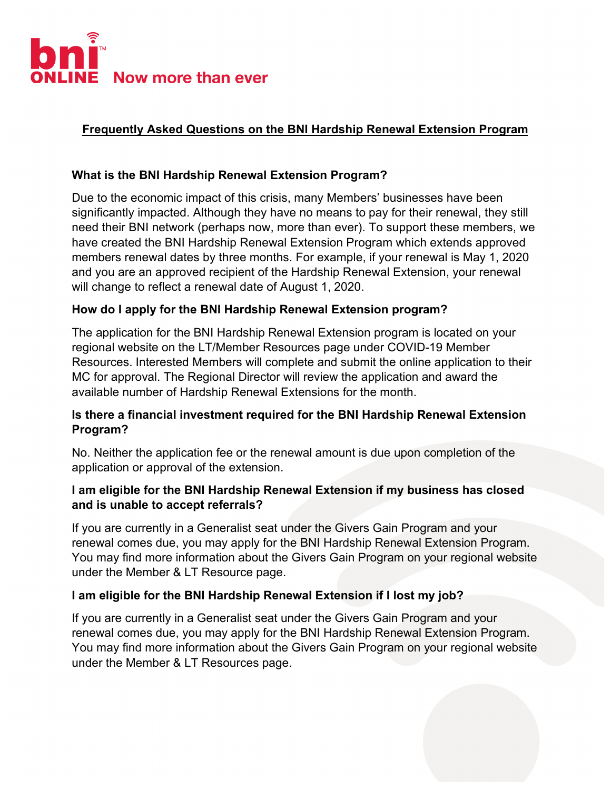

# **Frequently Asked Questions on the BNI Hardship Renewal Extension Program**

### **What is the BNI Hardship Renewal Extension Program?**

Due to the economic impact of this crisis, many Members' businesses have been significantly impacted. Although they have no means to pay for their renewal, they still need their BNI network (perhaps now, more than ever). To support these members, we have created the BNI Hardship Renewal Extension Program which extends approved members renewal dates by three months. For example, if your renewal is May 1, 2020 and you are an approved recipient of the Hardship Renewal Extension, your renewal will change to reflect a renewal date of August 1, 2020.

#### **How do I apply for the BNI Hardship Renewal Extension program?**

The application for the BNI Hardship Renewal Extension program is located on your regional website on the LT/Member Resources page under COVID-19 Member Resources. Interested Members will complete and submit the online application to their MC for approval. The Regional Director will review the application and award the available number of Hardship Renewal Extensions for the month.

### **Is there a financial investment required for the BNI Hardship Renewal Extension Program?**

No. Neither the application fee or the renewal amount is due upon completion of the application or approval of the extension.

### **I am eligible for the BNI Hardship Renewal Extension if my business has closed and is unable to accept referrals?**

If you are currently in a Generalist seat under the Givers Gain Program and your renewal comes due, you may apply for the BNI Hardship Renewal Extension Program. You may find more information about the Givers Gain Program on your regional website under the Member & LT Resource page.

### **I am eligible for the BNI Hardship Renewal Extension if I lost my job?**

If you are currently in a Generalist seat under the Givers Gain Program and your renewal comes due, you may apply for the BNI Hardship Renewal Extension Program. You may find more information about the Givers Gain Program on your regional website under the Member & LT Resources page.